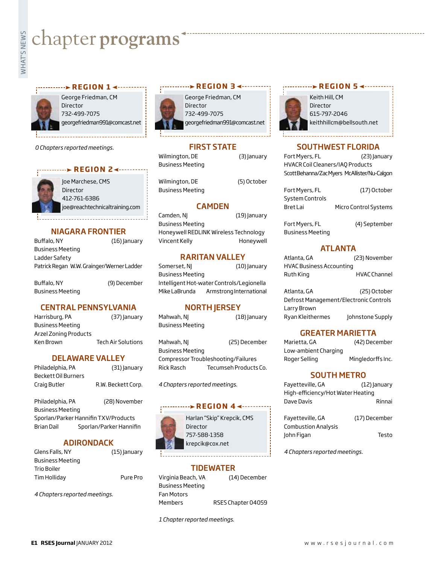# **whater programs**<br>Example:



## George Friedman, CM Director 732-499-7075 georgefriedman991@comcast.net ---------**> REGION 1 <**----------

*0 Chapters reported meetings.*



*<u>REGION 24.........</u>* 

Joe Marchese, CMS Director 412-761-6386 joe@reachtechnicaltraining.com

# NIAGARA FRONTIER

| Buffalo, NY                               | $(16)$ anuary |
|-------------------------------------------|---------------|
| Business Meeting                          |               |
| Ladder Safety                             |               |
| Patrick Regan W.W. Grainger/Werner Ladder |               |
|                                           |               |

| Buffalo, NY      | (9) December |
|------------------|--------------|
| Business Meeting |              |

# CENTRAL PENNSYLVANIA

| Harrisburg, PA        | (37) January              |
|-----------------------|---------------------------|
| Business Meeting      |                           |
| Arzel Zoning Products |                           |
| Ken Brown             | <b>Tech Air Solutions</b> |
|                       |                           |

# DELAWARE VALLEY

| Philadelphia, PA    | (31) January       |
|---------------------|--------------------|
| Beckett Oil Burners |                    |
| Craig Butler        | R.W. Beckett Corp. |
|                     |                    |

Philadelphia, PA (28) November Business Meeting Sporlan/Parker Hannifin TXV/Products Brian Dail Sporlan/Parker Hannifin

# ADIRONDACK

| Glens Falls, NY         | (15) January |
|-------------------------|--------------|
| <b>Business Meeting</b> |              |
| <b>Trio Boiler</b>      |              |
| Tim Holliday            | Pure Pro     |
|                         |              |

*4 Chapters reported meetings.*



George Friedman, CM Director 732-499-7075 georgefriedman991@comcast.net **r e g i o n 3**

# FIRST STATE

Wilmington, DE (3) January Business Meeting

Business Meeting

Wilmington, DE (5) October

# CAMDEN

Camden, NJ (19) January Business Meeting Honeywell REDLINK Wireless Technology Vincent Kelly **Honeywell** 

# RARITAN VALLEY

Somerset, NJ (10) January Business Meeting Intelligent Hot-water Controls/Legionella Mike LaBrunda Armstrong International

# **NORTH JERSEY**

Mahwah, NJ (18) January Business Meeting

Mahwah, NJ (25) December Business Meeting Compressor Troubleshooting/Failures Rick Rasch Tecumseh Products Co.

*4 Chapters reported meetings.*

#### **REGION 44-------**



Harlan "Skip" Krepcik, CMS Director 757-588-1358 krepcik@cox.net

#### TIDEWATER

Virginia Beach, VA (14) December Business Meeting Fan Motors Members RSES Chapter 04059

*1 Chapter reported meetings.*

## **REGION 5 <--------**



Keith Hill, CM Director 615-797-2046 keithhillcm@bellsouth.net

# SOUTHWEST FLORIDA

Fort Myers, FL (23) January HVACR Coil Cleaners/IAQ Products Scott Behanna/Zac Myers McAllister/Nu-Calgon

| Fort Myers, FL  | (17) October                 |
|-----------------|------------------------------|
| System Controls |                              |
| Bret Lai        | <b>Micro Control Systems</b> |
|                 |                              |
| Fort Myers, FL  | (4) September                |

Business Meeting

# ATLANTA

| Atlanta, GA                     | (23) November       |
|---------------------------------|---------------------|
| <b>HVAC Business Accounting</b> |                     |
| Ruth King                       | <b>HVAC Channel</b> |

Atlanta, GA (25) October Defrost Management/Electronic Controls Larry Brown Ryan Kleithermes Johnstone Supply

# GREATER MARIETTA

Marietta, GA (42) December Low-ambient Charging Roger Selling Mingledorffs Inc.

#### SOUTH METRO

| Fayetteville, GA                  | $(12)$ anuary |
|-----------------------------------|---------------|
| High-efficiency/Hot Water Heating |               |
| Dave Davis                        | Rinnai        |
|                                   |               |

| Fayetteville, GA           | (17) December |
|----------------------------|---------------|
| <b>Combustion Analysis</b> |               |
| John Figan                 | Testo         |

*4 Chapters reported meetings.*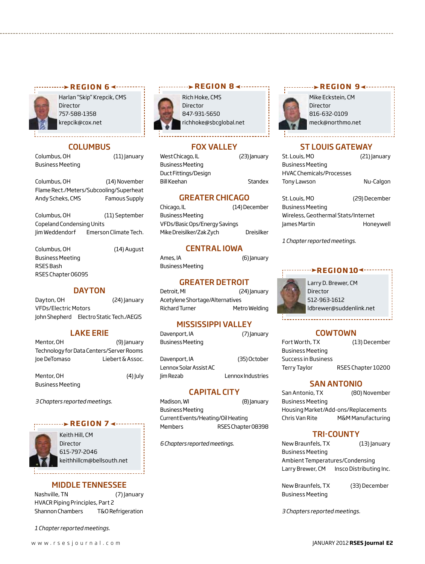

Harlan "Skip" Krepcik, CMS Director 757-588-1358 krepcik@cox.net

#### **COLUMBUS**

Columbus, OH (11) January Business Meeting

Columbus, OH (14) November Flame Rect./Meters/Subcooling/Superheat Andy Scheks, CMS Famous Supply

Columbus, OH (11) September Copeland Condensing Units Jim Weddendorf Emerson Climate Tech.

Columbus, OH (14) August Business Meeting RSES Bash RSES Chapter 06095

#### DAYTON

Dayton, OH (24) January VFDs/Electric Motors John Shepherd Electro Static Tech./AEGIS

#### LAKE ERIE

| Mentor, OH                               | (9) January      |
|------------------------------------------|------------------|
| Technology for Data Centers/Server Rooms |                  |
| loe DeTomaso                             | Liebert & Assoc. |

Mentor, OH (4) July Business Meeting

*3 Chapters reported meetings.*

#### **REGION 7 <--------**



Keith Hill, CM Director 615-797-2046 keithhillcm@bellsouth.net

#### MIDDLE TENNESSEE

Nashville, TN (7) January HVACR Piping Principles, Part 2 Shannon Chambers T&O Refrigeration

*1 Chapter reported meetings.*



Rich Hoke, CMS Director 847-931-5650 richhoke@sbcglobal.net **r REGION 8** 

#### Fox Valley

West Chicago, IL (23) January Business Meeting Duct Fittings/Design Bill Keehan Standex

#### GREATER CHICAGO

Chicago, IL (14) December Business Meeting VFDs/Basic Ops/Energy Savings Mike Dreisilker/Zak Zych Dreisilker

#### CENTRAL IOWA

Ames, IA (6) January Business Meeting

#### GREATER DETROIT

Detroit, MI (24) January Acetylene Shortage/Alternatives Richard Turner Metro Welding

#### MISSISSIPPI VALLEY

Davenport, IA (7) January Business Meeting

Davenport, IA (35) October Lennox Solar Assist AC Jim Rezab Lennox Industries

#### CAPITAL CITY

Madison, WI (8) January Business Meeting Current Events/Heating/Oil Heating Members RSES Chapter 08398

*6 Chapters reported meetings.*

# **r EGION** 9∢ ··········



Mike Eckstein, CM Director 816-632-0109 meck@northmo.net

#### ST LOUIS GATEWAY

| St. Louis, MO                   | (21) January |
|---------------------------------|--------------|
| <b>Business Meeting</b>         |              |
| <b>HVAC Chemicals/Processes</b> |              |
| Tony Lawson                     | Nu-Calgon    |
|                                 |              |

| St. Louis, MO                       | (29) December |
|-------------------------------------|---------------|
| <b>Business Meeting</b>             |               |
| Wireless, Geothermal Stats/Internet |               |
| James Martin                        | Honeywell     |
|                                     |               |

*1 Chapter reported meetings.*

#### *<b>REGION10*



Larry D. Brewer, CM Director 512-963-1612 ldbrewer@suddenlink.net

#### COWTOWN

| Fort Worth, TX          | (13) December      |
|-------------------------|--------------------|
| <b>Business Meeting</b> |                    |
| Success in Business     |                    |
| Terry Taylor            | RSES Chapter 10200 |

#### SAN ANTONIO

San Antonio, TX (80) November Business Meeting Housing Market/Add-ons/Replacements Chris Van Rite M&M Manufacturing

#### TRI-COUNTY

New Braunfels, TX (13) January Business Meeting Ambient Temperatures/Condensing Larry Brewer, CM Insco Distributing Inc.

New Braunfels, TX (33) December Business Meeting

*3 Chapters reported meetings.*